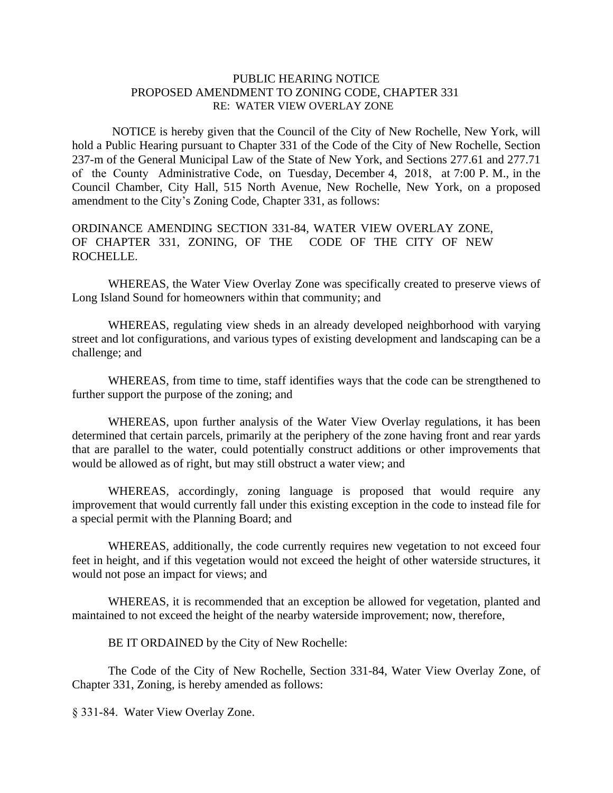## PUBLIC HEARING NOTICE PROPOSED AMENDMENT TO ZONING CODE, CHAPTER 331 RE: WATER VIEW OVERLAY ZONE

NOTICE is hereby given that the Council of the City of New Rochelle, New York, will hold a Public Hearing pursuant to Chapter 331 of the Code of the City of New Rochelle, Section 237-m of the General Municipal Law of the State of New York, and Sections 277.61 and 277.71 of the County Administrative Code, on Tuesday, December 4, 2018, at 7:00 P. M., in the Council Chamber, City Hall, 515 North Avenue, New Rochelle, New York, on a proposed amendment to the City's Zoning Code, Chapter 331, as follows:

## ORDINANCE AMENDING SECTION 331-84, WATER VIEW OVERLAY ZONE, OF CHAPTER 331, ZONING, OF THE CODE OF THE CITY OF NEW ROCHELLE.

WHEREAS, the Water View Overlay Zone was specifically created to preserve views of Long Island Sound for homeowners within that community; and

WHEREAS, regulating view sheds in an already developed neighborhood with varying street and lot configurations, and various types of existing development and landscaping can be a challenge; and

WHEREAS, from time to time, staff identifies ways that the code can be strengthened to further support the purpose of the zoning; and

WHEREAS, upon further analysis of the Water View Overlay regulations, it has been determined that certain parcels, primarily at the periphery of the zone having front and rear yards that are parallel to the water, could potentially construct additions or other improvements that would be allowed as of right, but may still obstruct a water view; and

WHEREAS, accordingly, zoning language is proposed that would require any improvement that would currently fall under this existing exception in the code to instead file for a special permit with the Planning Board; and

WHEREAS, additionally, the code currently requires new vegetation to not exceed four feet in height, and if this vegetation would not exceed the height of other waterside structures, it would not pose an impact for views; and

WHEREAS, it is recommended that an exception be allowed for vegetation, planted and maintained to not exceed the height of the nearby waterside improvement; now, therefore,

BE IT ORDAINED by the City of New Rochelle:

The Code of the City of New Rochelle, Section 331-84, Water View Overlay Zone, of Chapter 331, Zoning, is hereby amended as follows:

§ 331-84. Water View Overlay Zone.